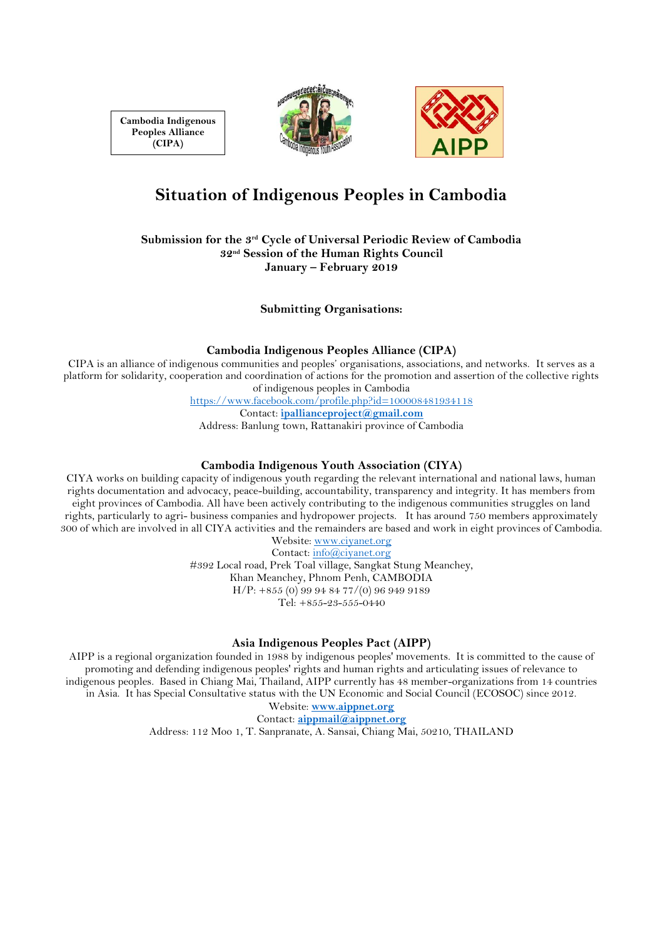**Cambodia Indigenous Peoples Alliance (CIPA)**





# **Situation of Indigenous Peoples in Cambodia**

**Submission for the 3rd Cycle of Universal Periodic Review of Cambodia 32nd Session of the Human Rights Council January – February 2019**

**Submitting Organisations:**

#### **Cambodia Indigenous Peoples Alliance (CIPA)**

CIPA is an alliance of indigenous communities and peoples' organisations, associations, and networks. It serves as a platform for solidarity, cooperation and coordination of actions for the promotion and assertion of the collective rights of indigenous peoples in Cambodia

<https://www.facebook.com/profile.php?id=100008481934118>

Contact: **[ipallianceproject@gmail.com](mailto:ipallianceproject@gmail.com)**

Address: Banlung town, Rattanakiri province of Cambodia

# **Cambodia Indigenous Youth Association (CIYA)**

CIYA works on building capacity of indigenous youth regarding the relevant international and national laws, human rights documentation and advocacy, peace-building, accountability, transparency and integrity. It has members from eight provinces of Cambodia. All have been actively contributing to the indigenous communities struggles on land rights, particularly to agri- business companies and hydropower projects. It has around 750 members approximately 300 of which are involved in all CIYA activities and the remainders are based and work in eight provinces of Cambodia.

Website: [www.ciyanet.org](http://www.ciyanet.org/)

Contact[: info@ciyanet.org](mailto:info@ciyanet.org) #392 Local road, Prek Toal village, Sangkat Stung Meanchey, Khan Meanchey, Phnom Penh, CAMBODIA H/P: +855 (0) 99 94 84 77/(0) 96 949 9189 Tel: +855-23-555-0440

## **Asia Indigenous Peoples Pact (AIPP)**

AIPP is a regional organization founded in 1988 by indigenous peoples' movements. It is committed to the cause of promoting and defending indigenous peoples' rights and human rights and articulating issues of relevance to indigenous peoples. Based in Chiang Mai, Thailand, AIPP currently has 48 member-organizations from 14 countries in Asia. It has Special Consultative status with the UN Economic and Social Council (ECOSOC) since 2012.

Website: **[www.aippnet.org](http://www.aippnet.org/)** Contact: **[aippmail@aippnet.org](mailto:aippmail@aippnet.org)**

Address: 112 Moo 1, T. Sanpranate, A. Sansai, Chiang Mai, 50210, THAILAND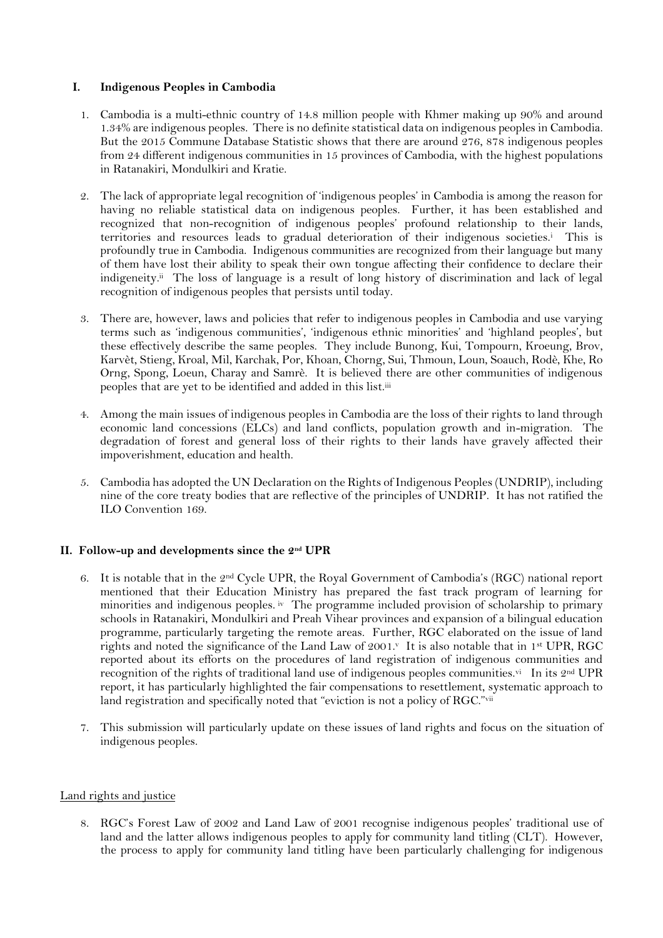# **I. Indigenous Peoples in Cambodia**

- 1. Cambodia is a multi-ethnic country of 14.8 million people with Khmer making up 90% and around 1.34% are indigenous peoples. There is no definite statistical data on indigenous peoples in Cambodia. But the 2015 Commune Database Statistic shows that there are around 276, 878 indigenous peoples from 24 different indigenous communities in 15 provinces of Cambodia, with the highest populations in Ratanakiri, Mondulkiri and Kratie.
- 2. The lack of appropriate legal recognition of 'indigenous peoples' in Cambodia is among the reason for having no reliable statistical data on indigenous peoples. Further, it has been established and recognized that non-recognition of indigenous peoples' profound relationship to their lands, territories and resources leads to gradual deterioration of their indigenous societies.<sup>i</sup> This is profoundly true in Cambodia. Indigenous communities are recognized from their language but many of them have lost their ability to speak their own tongue affecting their confidence to declare their indigeneity.ii The loss of language is a result of long history of discrimination and lack of legal recognition of indigenous peoples that persists until today.
- 3. There are, however, laws and policies that refer to indigenous peoples in Cambodia and use varying terms such as 'indigenous communities', 'indigenous ethnic minorities' and 'highland peoples', but these effectively describe the same peoples. They include Bunong, Kui, Tompourn, Kroeung, Brov, Karvèt, Stieng, Kroal, Mil, Karchak, Por, Khoan, Chorng, Sui, Thmoun, Loun, Soauch, Rodè, Khe, Ro Orng, Spong, Loeun, Charay and Samrè. It is believed there are other communities of indigenous peoples that are yet to be identified and added in this list.iii
- 4. Among the main issues of indigenous peoples in Cambodia are the loss of their rights to land through economic land concessions (ELCs) and land conflicts, population growth and in-migration. The degradation of forest and general loss of their rights to their lands have gravely affected their impoverishment, education and health.
- 5. Cambodia has adopted the UN Declaration on the Rights of Indigenous Peoples (UNDRIP), including nine of the core treaty bodies that are reflective of the principles of UNDRIP. It has not ratified the ILO Convention 169.

# **II. Follow-up and developments since the 2nd UPR**

- 6. It is notable that in the 2nd Cycle UPR, the Royal Government of Cambodia's (RGC) national report mentioned that their Education Ministry has prepared the fast track program of learning for minorities and indigenous peoples. iv The programme included provision of scholarship to primary schools in Ratanakiri, Mondulkiri and Preah Vihear provinces and expansion of a bilingual education programme, particularly targeting the remote areas. Further, RGC elaborated on the issue of land rights and noted the significance of the Land Law of 2001.<sup>v</sup> It is also notable that in 1<sup>st</sup> UPR, RGC reported about its efforts on the procedures of land registration of indigenous communities and recognition of the rights of traditional land use of indigenous peoples communities. $^{\rm vi}$  In its 2nd UPR report, it has particularly highlighted the fair compensations to resettlement, systematic approach to land registration and specifically noted that "eviction is not a policy of RGC."vii
- 7. This submission will particularly update on these issues of land rights and focus on the situation of indigenous peoples.

# Land rights and justice

8. RGC's Forest Law of 2002 and Land Law of 2001 recognise indigenous peoples' traditional use of land and the latter allows indigenous peoples to apply for community land titling (CLT). However, the process to apply for community land titling have been particularly challenging for indigenous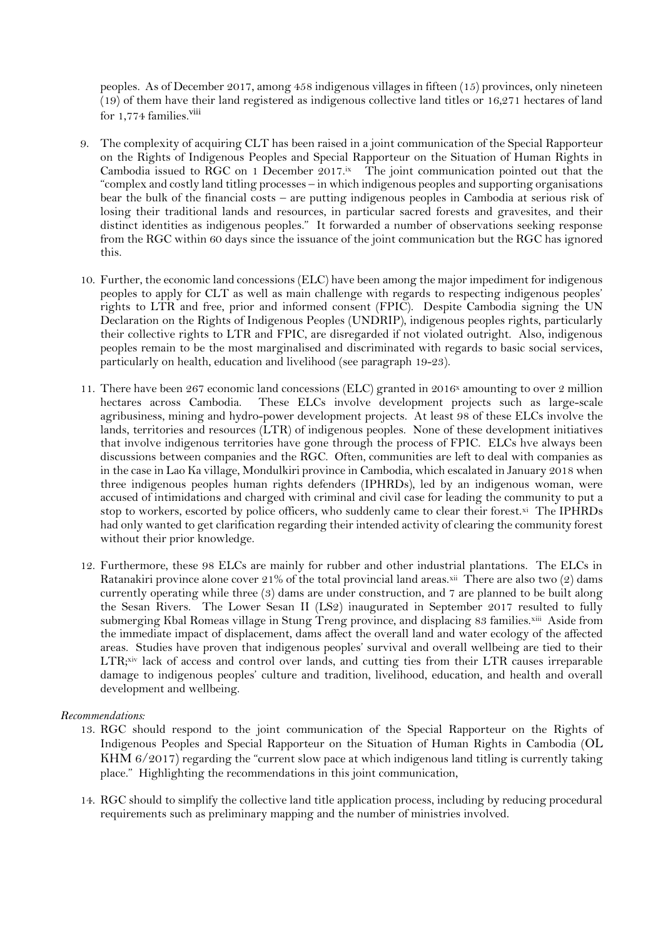peoples. As of December 2017, among 458 indigenous villages in fifteen (15) provinces, only nineteen (19) of them have their land registered as indigenous collective land titles or 16,271 hectares of land for 1,774 families.<sup>viii</sup>

- 9. The complexity of acquiring CLT has been raised in a joint communication of the Special Rapporteur on the Rights of Indigenous Peoples and Special Rapporteur on the Situation of Human Rights in Cambodia issued to RGC on 1 December 2017.ix The joint communication pointed out that the "complex and costly land titling processes – in which indigenous peoples and supporting organisations bear the bulk of the financial costs – are putting indigenous peoples in Cambodia at serious risk of losing their traditional lands and resources, in particular sacred forests and gravesites, and their distinct identities as indigenous peoples." It forwarded a number of observations seeking response from the RGC within 60 days since the issuance of the joint communication but the RGC has ignored this.
- 10. Further, the economic land concessions (ELC) have been among the major impediment for indigenous peoples to apply for CLT as well as main challenge with regards to respecting indigenous peoples' rights to LTR and free, prior and informed consent (FPIC). Despite Cambodia signing the UN Declaration on the Rights of Indigenous Peoples (UNDRIP), indigenous peoples rights, particularly their collective rights to LTR and FPIC, are disregarded if not violated outright. Also, indigenous peoples remain to be the most marginalised and discriminated with regards to basic social services, particularly on health, education and livelihood (see paragraph 19-23).
- 11. There have been 267 economic land concessions (ELC) granted in 2016<sup>x</sup> amounting to over 2 million hectares across Cambodia. These ELCs involve development projects such as large-scale agribusiness, mining and hydro-power development projects. At least 98 of these ELCs involve the lands, territories and resources (LTR) of indigenous peoples. None of these development initiatives that involve indigenous territories have gone through the process of FPIC. ELCs hve always been discussions between companies and the RGC. Often, communities are left to deal with companies as in the case in Lao Ka village, Mondulkiri province in Cambodia, which escalated in January 2018 when three indigenous peoples human rights defenders (IPHRDs), led by an indigenous woman, were accused of intimidations and charged with criminal and civil case for leading the community to put a stop to workers, escorted by police officers, who suddenly came to clear their forest.¤i The IPHRDs had only wanted to get clarification regarding their intended activity of clearing the community forest without their prior knowledge.
- 12. Furthermore, these 98 ELCs are mainly for rubber and other industrial plantations. The ELCs in Ratanakiri province alone cover 21% of the total provincial land areas. $^{\mathrm{xi}}$  There are also two (2) dams currently operating while three (3) dams are under construction, and 7 are planned to be built along the Sesan Rivers. The Lower Sesan II (LS2) inaugurated in September 2017 resulted to fully submerging Kbal Romeas village in Stung Treng province, and displacing 83 families.¤iii Aside from the immediate impact of displacement, dams affect the overall land and water ecology of the affected areas. Studies have proven that indigenous peoples' survival and overall wellbeing are tied to their LTR; xiv lack of access and control over lands, and cutting ties from their LTR causes irreparable damage to indigenous peoples' culture and tradition, livelihood, education, and health and overall development and wellbeing.

## *Recommendations:*

- 13. RGC should respond to the joint communication of the Special Rapporteur on the Rights of Indigenous Peoples and Special Rapporteur on the Situation of Human Rights in Cambodia (OL KHM 6/2017) regarding the "current slow pace at which indigenous land titling is currently taking place." Highlighting the recommendations in this joint communication,
- 14. RGC should to simplify the collective land title application process, including by reducing procedural requirements such as preliminary mapping and the number of ministries involved.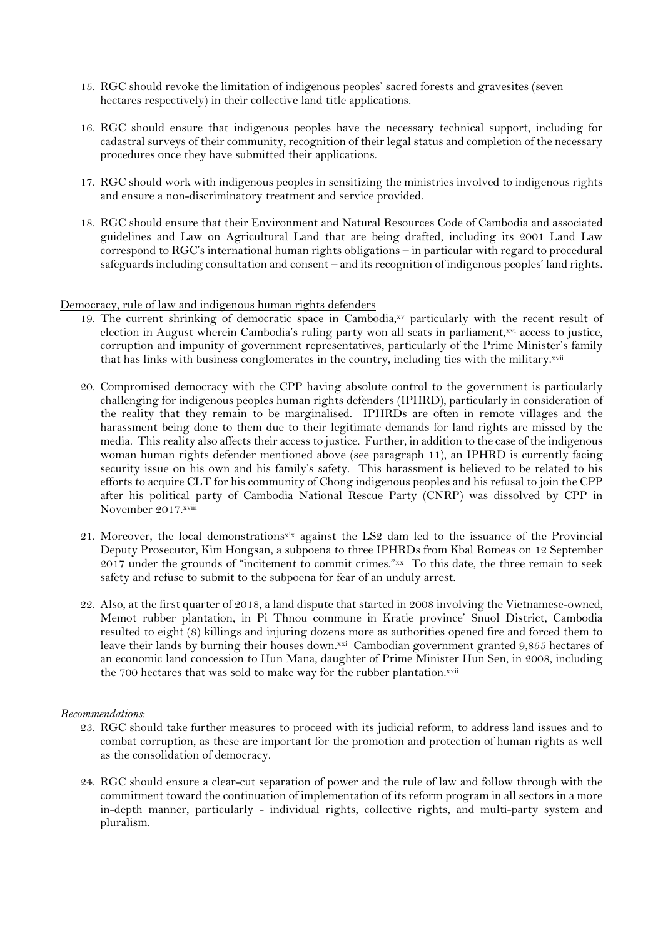- 15. RGC should revoke the limitation of indigenous peoples' sacred forests and gravesites (seven hectares respectively) in their collective land title applications.
- 16. RGC should ensure that indigenous peoples have the necessary technical support, including for cadastral surveys of their community, recognition of their legal status and completion of the necessary procedures once they have submitted their applications.
- 17. RGC should work with indigenous peoples in sensitizing the ministries involved to indigenous rights and ensure a non-discriminatory treatment and service provided.
- 18. RGC should ensure that their Environment and Natural Resources Code of Cambodia and associated guidelines and Law on Agricultural Land that are being drafted, including its 2001 Land Law correspond to RGC's international human rights obligations – in particular with regard to procedural safeguards including consultation and consent – and its recognition of indigenous peoples' land rights.

#### Democracy, rule of law and indigenous human rights defenders

- 19. The current shrinking of democratic space in Cambodia,xv particularly with the recent result of election in August wherein Cambodia's ruling party won all seats in parliament,xvi access to justice, corruption and impunity of government representatives, particularly of the Prime Minister's family that has links with business conglomerates in the country, including ties with the military.xvii
- 20. Compromised democracy with the CPP having absolute control to the government is particularly challenging for indigenous peoples human rights defenders (IPHRD), particularly in consideration of the reality that they remain to be marginalised. IPHRDs are often in remote villages and the harassment being done to them due to their legitimate demands for land rights are missed by the media. This reality also affects their access to justice. Further, in addition to the case of the indigenous woman human rights defender mentioned above (see paragraph 11), an IPHRD is currently facing security issue on his own and his family's safety. This harassment is believed to be related to his efforts to acquire CLT for his community of Chong indigenous peoples and his refusal to join the CPP after his political party of Cambodia National Rescue Party (CNRP) was dissolved by CPP in November 2017.xviii
- 21. Moreover, the local demonstrationsxix against the LS2 dam led to the issuance of the Provincial Deputy Prosecutor, Kim Hongsan, a subpoena to three IPHRDs from Kbal Romeas on 12 September 2017 under the grounds of "incitement to commit crimes."xx To this date, the three remain to seek safety and refuse to submit to the subpoena for fear of an unduly arrest.
- 22. Also, at the first quarter of 2018, a land dispute that started in 2008 involving the Vietnamese-owned, Memot rubber plantation, in Pi Thnou commune in Kratie province' Snuol District, Cambodia resulted to eight (8) killings and injuring dozens more as authorities opened fire and forced them to leave their lands by burning their houses down.¤¤i Cambodian government granted 9,855 hectares of an economic land concession to Hun Mana, daughter of Prime Minister Hun Sen, in 2008, including the 700 hectares that was sold to make way for the rubber plantation.xxii

#### *Recommendations:*

- 23. RGC should take further measures to proceed with its judicial reform, to address land issues and to combat corruption, as these are important for the promotion and protection of human rights as well as the consolidation of democracy.
- 24. RGC should ensure a clear-cut separation of power and the rule of law and follow through with the commitment toward the continuation of implementation of its reform program in all sectors in a more in-depth manner, particularly - individual rights, collective rights, and multi-party system and pluralism.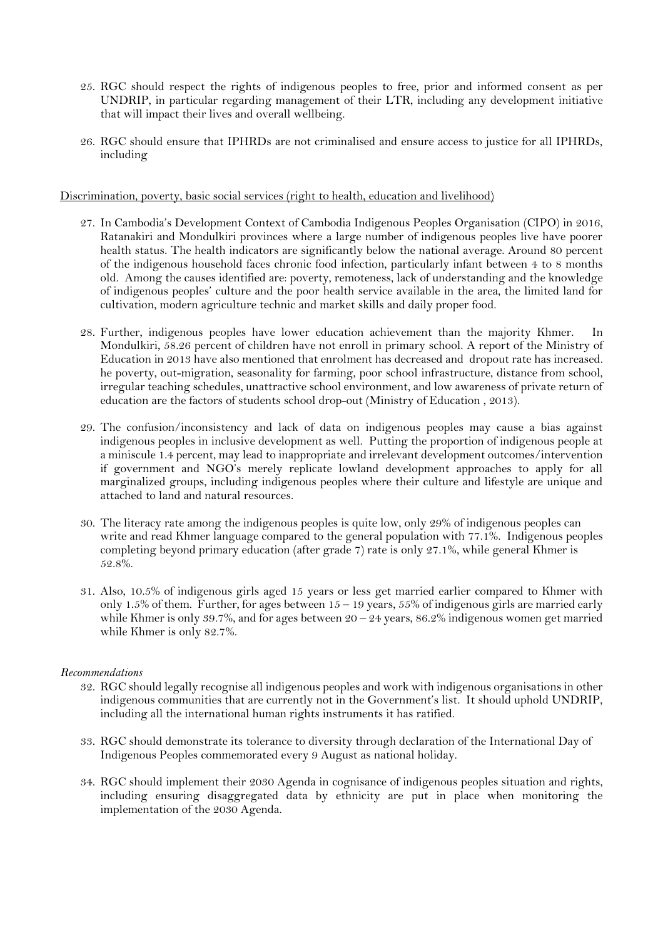- 25. RGC should respect the rights of indigenous peoples to free, prior and informed consent as per UNDRIP, in particular regarding management of their LTR, including any development initiative that will impact their lives and overall wellbeing.
- 26. RGC should ensure that IPHRDs are not criminalised and ensure access to justice for all IPHRDs, including

Discrimination, poverty, basic social services (right to health, education and livelihood)

- 27. In Cambodia's Development Context of Cambodia Indigenous Peoples Organisation (CIPO) in 2016, Ratanakiri and Mondulkiri provinces where a large number of indigenous peoples live have poorer health status. The health indicators are significantly below the national average. Around 80 percent of the indigenous household faces chronic food infection, particularly infant between 4 to 8 months old. Among the causes identified are: poverty, remoteness, lack of understanding and the knowledge of indigenous peoples' culture and the poor health service available in the area, the limited land for cultivation, modern agriculture technic and market skills and daily proper food.
- 28. Further, indigenous peoples have lower education achievement than the majority Khmer. In Mondulkiri, 58.26 percent of children have not enroll in primary school. A report of the Ministry of Education in 2013 have also mentioned that enrolment has decreased and dropout rate has increased. he poverty, out-migration, seasonality for farming, poor school infrastructure, distance from school, irregular teaching schedules, unattractive school environment, and low awareness of private return of education are the factors of students school drop-out (Ministry of Education , 2013).
- 29. The confusion/inconsistency and lack of data on indigenous peoples may cause a bias against indigenous peoples in inclusive development as well. Putting the proportion of indigenous people at a miniscule 1.4 percent, may lead to inappropriate and irrelevant development outcomes/intervention if government and NGO's merely replicate lowland development approaches to apply for all marginalized groups, including indigenous peoples where their culture and lifestyle are unique and attached to land and natural resources.
- 30. The literacy rate among the indigenous peoples is quite low, only 29% of indigenous peoples can write and read Khmer language compared to the general population with 77.1%. Indigenous peoples completing beyond primary education (after grade 7) rate is only 27.1%, while general Khmer is 52.8%.
- 31. Also, 10.5% of indigenous girls aged 15 years or less get married earlier compared to Khmer with only 1.5% of them. Further, for ages between  $15 - 19$  years, 55% of indigenous girls are married early while Khmer is only 39.7%, and for ages between  $20 - 24$  years,  $86.2\%$  indigenous women get married while Khmer is only 82.7%.

## *Recommendations*

- 32. RGC should legally recognise all indigenous peoples and work with indigenous organisations in other indigenous communities that are currently not in the Government's list. It should uphold UNDRIP, including all the international human rights instruments it has ratified.
- 33. RGC should demonstrate its tolerance to diversity through declaration of the International Day of Indigenous Peoples commemorated every 9 August as national holiday.
- 34. RGC should implement their 2030 Agenda in cognisance of indigenous peoples situation and rights, including ensuring disaggregated data by ethnicity are put in place when monitoring the implementation of the 2030 Agenda.